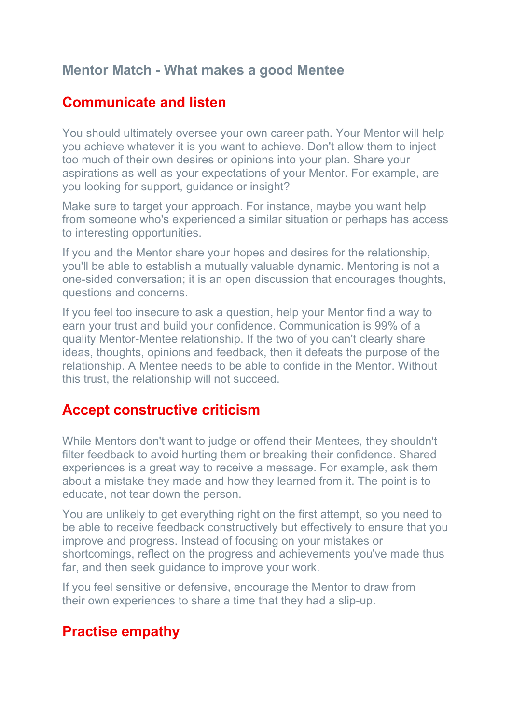### **Mentor Match - What makes a good Mentee**

### **Communicate and listen**

You should ultimately oversee your own career path. Your Mentor will help you achieve whatever it is you want to achieve. Don't allow them to inject too much of their own desires or opinions into your plan. Share your aspirations as well as your expectations of your Mentor. For example, are you looking for support, guidance or insight?

Make sure to target your approach. For instance, maybe you want help from someone who's experienced a similar situation or perhaps has access to interesting opportunities.

If you and the Mentor share your hopes and desires for the relationship, you'll be able to establish a mutually valuable dynamic. Mentoring is not a one-sided conversation; it is an open discussion that encourages thoughts, questions and concerns.

If you feel too insecure to ask a question, help your Mentor find a way to earn your trust and build your confidence. Communication is 99% of a quality Mentor-Mentee relationship. If the two of you can't clearly share ideas, thoughts, opinions and feedback, then it defeats the purpose of the relationship. A Mentee needs to be able to confide in the Mentor. Without this trust, the relationship will not succeed.

#### **Accept constructive criticism**

While Mentors don't want to judge or offend their Mentees, they shouldn't filter feedback to avoid hurting them or breaking their confidence. Shared experiences is a great way to receive a message. For example, ask them about a mistake they made and how they learned from it. The point is to educate, not tear down the person.

You are unlikely to get everything right on the first attempt, so you need to be able to receive feedback constructively but effectively to ensure that you improve and progress. Instead of focusing on your mistakes or shortcomings, reflect on the progress and achievements you've made thus far, and then seek guidance to improve your work.

If you feel sensitive or defensive, encourage the Mentor to draw from their own experiences to share a time that they had a slip-up.

## **Practise empathy**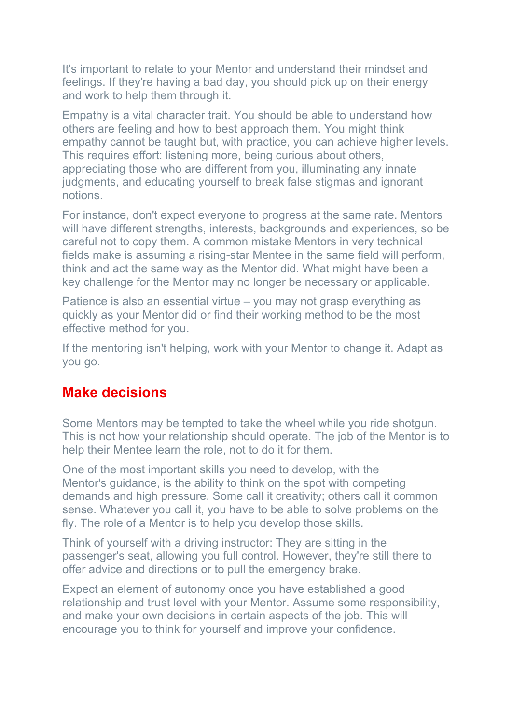It's important to relate to your Mentor and understand their mindset and feelings. If they're having a bad day, you should pick up on their energy and work to help them through it.

Empathy is a vital character trait. You should be able to understand how others are feeling and how to best approach them. You might think empathy cannot be taught but, with practice, you can achieve higher levels. This requires effort: listening more, being curious about others, appreciating those who are different from you, illuminating any innate judgments, and educating yourself to break false stigmas and ignorant notions.

For instance, don't expect everyone to progress at the same rate. Mentors will have different strengths, interests, backgrounds and experiences, so be careful not to copy them. A common mistake Mentors in very technical fields make is assuming a rising-star Mentee in the same field will perform, think and act the same way as the Mentor did. What might have been a key challenge for the Mentor may no longer be necessary or applicable.

Patience is also an essential virtue – you may not grasp everything as quickly as your Mentor did or find their working method to be the most effective method for you.

If the mentoring isn't helping, work with your Mentor to change it. Adapt as you go.

## **Make decisions**

Some Mentors may be tempted to take the wheel while you ride shotgun. This is not how your relationship should operate. The job of the Mentor is to help their Mentee learn the role, not to do it for them.

One of the most important skills you need to develop, with the Mentor's guidance, is the ability to think on the spot with competing demands and high pressure. Some call it creativity; others call it common sense. Whatever you call it, you have to be able to solve problems on the fly. The role of a Mentor is to help you develop those skills.

Think of yourself with a driving instructor: They are sitting in the passenger's seat, allowing you full control. However, they're still there to offer advice and directions or to pull the emergency brake.

Expect an element of autonomy once you have established a good relationship and trust level with your Mentor. Assume some responsibility, and make your own decisions in certain aspects of the job. This will encourage you to think for yourself and improve your confidence.